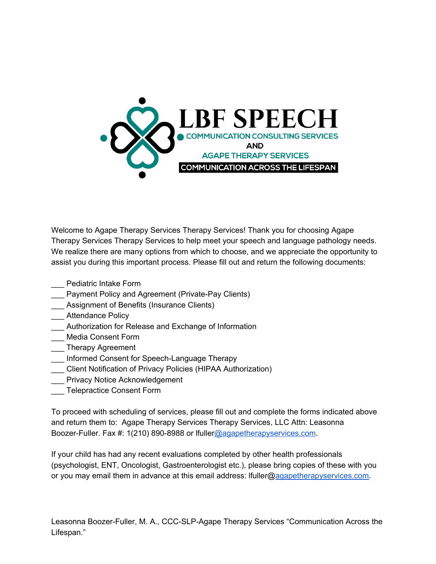

Welcome to Agape Therapy Services Therapy Services! Thank you for choosing Agape Therapy Services Therapy Services to help meet your speech and language pathology needs. We realize there are many options from which to choose, and we appreciate the opportunity to assist you during this important process. Please fill out and return the following documents:

- \_\_\_ Pediatric Intake Form
- Payment Policy and Agreement (Private-Pay Clients)
- \_\_\_ Assignment of Benefits (Insurance Clients)
- **Example 21 Attendance Policy**
- \_\_\_ Authorization for Release and Exchange of Information
- \_\_\_ Media Consent Form
- \_\_\_ Therapy Agreement
- \_\_\_ Informed Consent for Speech-Language Therapy
- \_\_\_ Client Notification of Privacy Policies (HIPAA Authorization)
- \_\_\_ Privacy Notice Acknowledgement
- **Example 2** Telepractice Consent Form

To proceed with scheduling of services, please fill out and complete the forms indicated above and return them to: Agape Therapy Services Therapy Services, LLC Attn: Leasonna Boozer-Fuller. Fax #: 1(210) 890-8988 or lfulle[r@agapetherapyservices.com](mailto:lfuller@agapetherapyservices.com).

If your child has had any recent evaluations completed by other health professionals (psychologist, ENT, Oncologist, Gastroenterologist etc.), please bring copies of these with you or you may email them in advance at this email address: lfuller@[agapetherapyservices.com](mailto:lfuller@agapetherapyservices.com).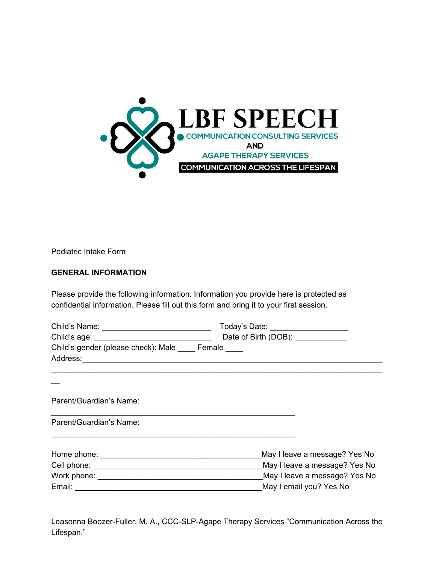

Pediatric Intake Form

### **GENERAL INFORMATION**

Please provide the following information. Information you provide here is protected as confidential information. Please fill out this form and bring it to your first session.

|                                                                                       | Today's Date: ____________________ |
|---------------------------------------------------------------------------------------|------------------------------------|
| Date of Birth (DOB): ____________<br>Child's age: ___________________________________ |                                    |
| Child's gender (please check): Male Female                                            |                                    |
|                                                                                       |                                    |
|                                                                                       |                                    |
| Parent/Guardian's Name:                                                               |                                    |
| Parent/Guardian's Name:                                                               |                                    |
|                                                                                       | May I leave a message? Yes No      |
|                                                                                       | May I leave a message? Yes No      |
|                                                                                       | May I leave a message? Yes No      |
|                                                                                       | May I email you? Yes No            |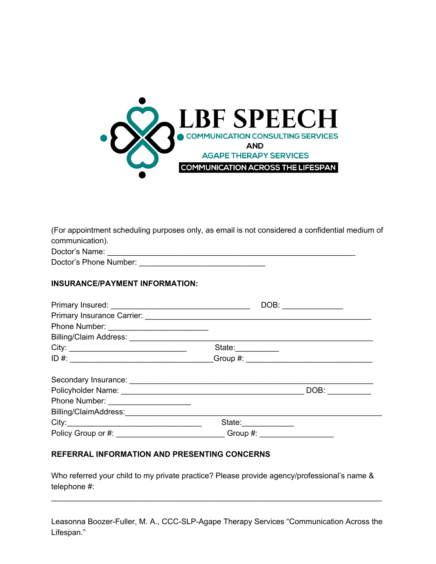

| (For appointment scheduling purposes only, as email is not considered a confidential medium of |
|------------------------------------------------------------------------------------------------|
| communication).                                                                                |
|                                                                                                |

| Doctor's Name:         |  |
|------------------------|--|
| Doctor's Phone Number: |  |

### **INSURANCE/PAYMENT INFORMATION:**

|                                                                                  | DOB:                      | <u> 1980 - Jan Barbara Barbara, prima prima prima prima prima prima prima prima prima prima prima prima prima pri</u> |
|----------------------------------------------------------------------------------|---------------------------|-----------------------------------------------------------------------------------------------------------------------|
|                                                                                  |                           |                                                                                                                       |
|                                                                                  |                           |                                                                                                                       |
|                                                                                  |                           |                                                                                                                       |
|                                                                                  | State:__________          |                                                                                                                       |
| ID #: _________________________________Group #: ________________________________ |                           |                                                                                                                       |
|                                                                                  |                           |                                                                                                                       |
|                                                                                  |                           | DOB:                                                                                                                  |
| Phone Number: _____________________                                              |                           |                                                                                                                       |
|                                                                                  |                           |                                                                                                                       |
|                                                                                  | State:                    |                                                                                                                       |
|                                                                                  | Group #: ________________ |                                                                                                                       |

### **REFERRAL INFORMATION AND PRESENTING CONCERNS**

Who referred your child to my private practice? Please provide agency/professional's name & telephone #:

Leasonna Boozer-Fuller, M. A., CCC-SLP-Agape Therapy Services "Communication Across the Lifespan."

\_\_\_\_\_\_\_\_\_\_\_\_\_\_\_\_\_\_\_\_\_\_\_\_\_\_\_\_\_\_\_\_\_\_\_\_\_\_\_\_\_\_\_\_\_\_\_\_\_\_\_\_\_\_\_\_\_\_\_\_\_\_\_\_\_\_\_\_\_\_\_\_\_\_\_\_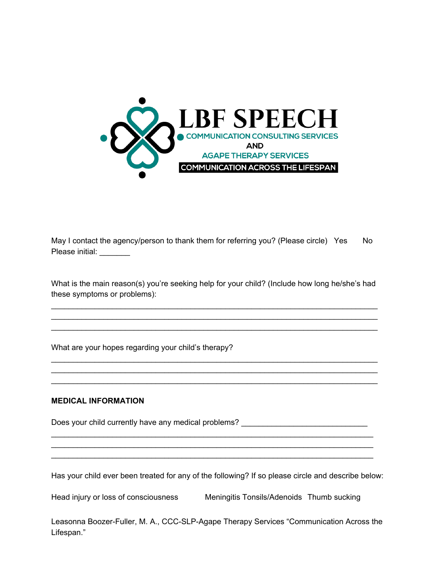

May I contact the agency/person to thank them for referring you? (Please circle) Yes No Please initial:

What is the main reason(s) you're seeking help for your child? (Include how long he/she's had these symptoms or problems):

\_\_\_\_\_\_\_\_\_\_\_\_\_\_\_\_\_\_\_\_\_\_\_\_\_\_\_\_\_\_\_\_\_\_\_\_\_\_\_\_\_\_\_\_\_\_\_\_\_\_\_\_\_\_\_\_\_\_\_\_\_\_\_\_\_\_\_\_\_\_\_\_\_\_\_

\_\_\_\_\_\_\_\_\_\_\_\_\_\_\_\_\_\_\_\_\_\_\_\_\_\_\_\_\_\_\_\_\_\_\_\_\_\_\_\_\_\_\_\_\_\_\_\_\_\_\_\_\_\_\_\_\_\_\_\_\_\_\_\_\_\_\_\_\_\_\_\_\_\_\_ \_\_\_\_\_\_\_\_\_\_\_\_\_\_\_\_\_\_\_\_\_\_\_\_\_\_\_\_\_\_\_\_\_\_\_\_\_\_\_\_\_\_\_\_\_\_\_\_\_\_\_\_\_\_\_\_\_\_\_\_\_\_\_\_\_\_\_\_\_\_\_\_\_\_\_

\_\_\_\_\_\_\_\_\_\_\_\_\_\_\_\_\_\_\_\_\_\_\_\_\_\_\_\_\_\_\_\_\_\_\_\_\_\_\_\_\_\_\_\_\_\_\_\_\_\_\_\_\_\_\_\_\_\_\_\_\_\_\_\_\_\_\_\_\_\_\_\_\_\_\_ \_\_\_\_\_\_\_\_\_\_\_\_\_\_\_\_\_\_\_\_\_\_\_\_\_\_\_\_\_\_\_\_\_\_\_\_\_\_\_\_\_\_\_\_\_\_\_\_\_\_\_\_\_\_\_\_\_\_\_\_\_\_\_\_\_\_\_\_\_\_\_\_\_\_\_

What are your hopes regarding your child's therapy?

#### **MEDICAL INFORMATION**

Does your child currently have any medical problems? \_\_\_\_\_\_\_\_\_\_\_\_\_\_\_\_\_\_\_\_\_\_\_\_\_\_\_

Has your child ever been treated for any of the following? If so please circle and describe below:

\_\_\_\_\_\_\_\_\_\_\_\_\_\_\_\_\_\_\_\_\_\_\_\_\_\_\_\_\_\_\_\_\_\_\_\_\_\_\_\_\_\_\_\_\_\_\_\_\_\_\_\_\_\_\_\_\_\_\_\_\_\_\_\_\_\_\_\_\_\_\_\_\_\_ \_\_\_\_\_\_\_\_\_\_\_\_\_\_\_\_\_\_\_\_\_\_\_\_\_\_\_\_\_\_\_\_\_\_\_\_\_\_\_\_\_\_\_\_\_\_\_\_\_\_\_\_\_\_\_\_\_\_\_\_\_\_\_\_\_\_\_\_\_\_\_\_\_\_

Head injury or loss of consciousness Meningitis Tonsils/Adenoids Thumb sucking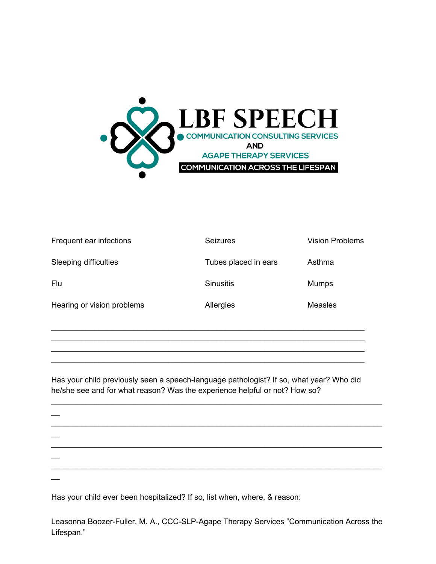

| Frequent ear infections    | <b>Seizures</b>      | <b>Vision Problems</b> |
|----------------------------|----------------------|------------------------|
| Sleeping difficulties      | Tubes placed in ears | Asthma                 |
| Flu                        | <b>Sinusitis</b>     | <b>Mumps</b>           |
| Hearing or vision problems | Allergies            | <b>Measles</b>         |
|                            |                      |                        |

Has your child previously seen a speech-language pathologist? If so, what year? Who did he/she see and for what reason? Was the experience helpful or not? How so?

\_\_\_\_\_\_\_\_\_\_\_\_\_\_\_\_\_\_\_\_\_\_\_\_\_\_\_\_\_\_\_\_\_\_\_\_\_\_\_\_\_\_\_\_\_\_\_\_\_\_\_\_\_\_\_\_\_\_\_\_\_\_\_\_\_\_\_\_\_\_\_\_ \_\_\_\_\_\_\_\_\_\_\_\_\_\_\_\_\_\_\_\_\_\_\_\_\_\_\_\_\_\_\_\_\_\_\_\_\_\_\_\_\_\_\_\_\_\_\_\_\_\_\_\_\_\_\_\_\_\_\_\_\_\_\_\_\_\_\_\_\_\_\_\_ \_\_\_\_\_\_\_\_\_\_\_\_\_\_\_\_\_\_\_\_\_\_\_\_\_\_\_\_\_\_\_\_\_\_\_\_\_\_\_\_\_\_\_\_\_\_\_\_\_\_\_\_\_\_\_\_\_\_\_\_\_\_\_\_\_\_\_\_\_\_\_\_

 $\overline{\phantom{a}}$ \_\_\_\_\_\_\_\_\_\_\_\_\_\_\_\_\_\_\_\_\_\_\_\_\_\_\_\_\_\_\_\_\_\_\_\_\_\_\_\_\_\_\_\_\_\_\_\_\_\_\_\_\_\_\_\_\_\_\_\_\_\_\_\_\_\_\_\_\_\_\_\_\_\_\_\_  $\overline{\phantom{a}}$ \_\_\_\_\_\_\_\_\_\_\_\_\_\_\_\_\_\_\_\_\_\_\_\_\_\_\_\_\_\_\_\_\_\_\_\_\_\_\_\_\_\_\_\_\_\_\_\_\_\_\_\_\_\_\_\_\_\_\_\_\_\_\_\_\_\_\_\_\_\_\_\_\_\_\_\_  $\overline{\phantom{a}}$ \_\_\_\_\_\_\_\_\_\_\_\_\_\_\_\_\_\_\_\_\_\_\_\_\_\_\_\_\_\_\_\_\_\_\_\_\_\_\_\_\_\_\_\_\_\_\_\_\_\_\_\_\_\_\_\_\_\_\_\_\_\_\_\_\_\_\_\_\_\_\_\_\_\_\_\_  $\overline{\phantom{a}}$ 

\_\_\_\_\_\_\_\_\_\_\_\_\_\_\_\_\_\_\_\_\_\_\_\_\_\_\_\_\_\_\_\_\_\_\_\_\_\_\_\_\_\_\_\_\_\_\_\_\_\_\_\_\_\_\_\_\_\_\_\_\_\_\_\_\_\_\_\_\_\_\_\_\_\_\_\_

Has your child ever been hospitalized? If so, list when, where, & reason: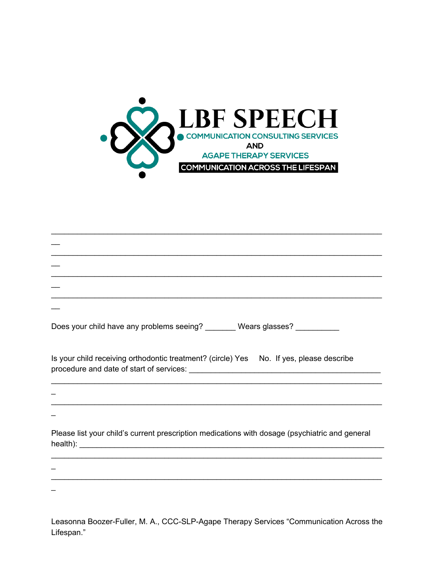

| Does your child have any problems seeing? ________ Wears glasses? ___________                  |
|------------------------------------------------------------------------------------------------|
| Is your child receiving orthodontic treatment? (circle) Yes No. If yes, please describe        |
|                                                                                                |
|                                                                                                |
| Please list your child's current prescription medications with dosage (psychiatric and general |
|                                                                                                |
|                                                                                                |
|                                                                                                |
|                                                                                                |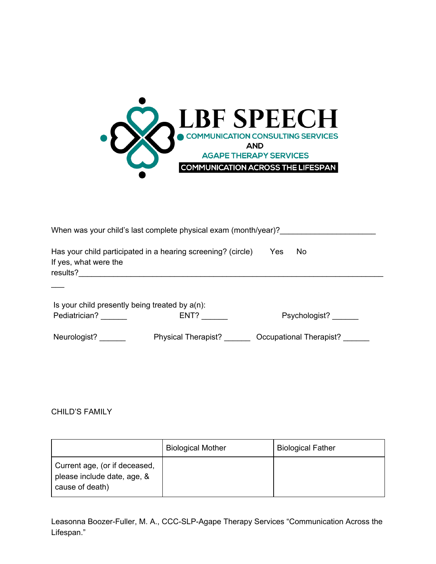

| When was your child's last complete physical exam (month/year)? |                                                              |                         |  |  |
|-----------------------------------------------------------------|--------------------------------------------------------------|-------------------------|--|--|
| If yes, what were the                                           | Has your child participated in a hearing screening? (circle) | Yes<br>No.              |  |  |
|                                                                 |                                                              |                         |  |  |
| Is your child presently being treated by $a(n)$ :               |                                                              |                         |  |  |
| Pediatrician?                                                   | ENT?                                                         | Psychologist?           |  |  |
| Neurologist?                                                    | Physical Therapist?                                          | Occupational Therapist? |  |  |

### CHILD'S FAMILY

|                                                                                 | <b>Biological Mother</b> | <b>Biological Father</b> |
|---------------------------------------------------------------------------------|--------------------------|--------------------------|
| Current age, (or if deceased,<br>please include date, age, &<br>cause of death) |                          |                          |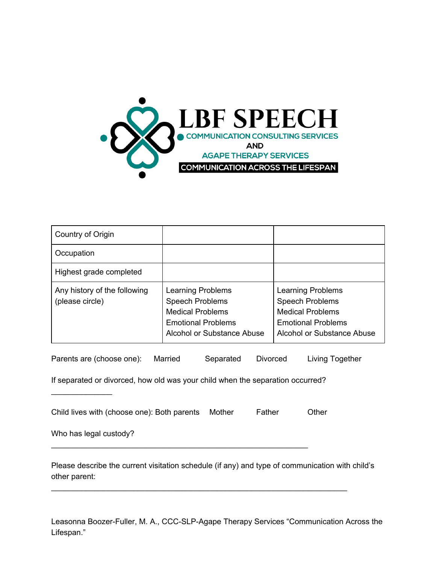

| Country of Origin                               |                                                                                                                                          |                                                                                                                                          |
|-------------------------------------------------|------------------------------------------------------------------------------------------------------------------------------------------|------------------------------------------------------------------------------------------------------------------------------------------|
| Occupation                                      |                                                                                                                                          |                                                                                                                                          |
| Highest grade completed                         |                                                                                                                                          |                                                                                                                                          |
| Any history of the following<br>(please circle) | <b>Learning Problems</b><br><b>Speech Problems</b><br><b>Medical Problems</b><br><b>Emotional Problems</b><br>Alcohol or Substance Abuse | <b>Learning Problems</b><br><b>Speech Problems</b><br><b>Medical Problems</b><br><b>Emotional Problems</b><br>Alcohol or Substance Abuse |

| Parents are (choose one): | Married | Separated | Divorced | Living Together |
|---------------------------|---------|-----------|----------|-----------------|
|---------------------------|---------|-----------|----------|-----------------|

If separated or divorced, how old was your child when the separation occurred?

Child lives with (choose one): Both parents Mother Father Other

\_\_\_\_\_\_\_\_\_\_\_\_\_\_\_\_\_\_\_\_\_\_\_\_\_\_\_\_\_\_\_\_\_\_\_\_\_\_\_\_\_\_\_\_\_\_\_\_\_\_\_\_\_\_\_\_\_\_\_

Who has legal custody?

 $\mathcal{L}_\text{max}$  , where  $\mathcal{L}_\text{max}$ 

Please describe the current visitation schedule (if any) and type of communication with child's other parent:

\_\_\_\_\_\_\_\_\_\_\_\_\_\_\_\_\_\_\_\_\_\_\_\_\_\_\_\_\_\_\_\_\_\_\_\_\_\_\_\_\_\_\_\_\_\_\_\_\_\_\_\_\_\_\_\_\_\_\_\_\_\_\_\_\_\_\_\_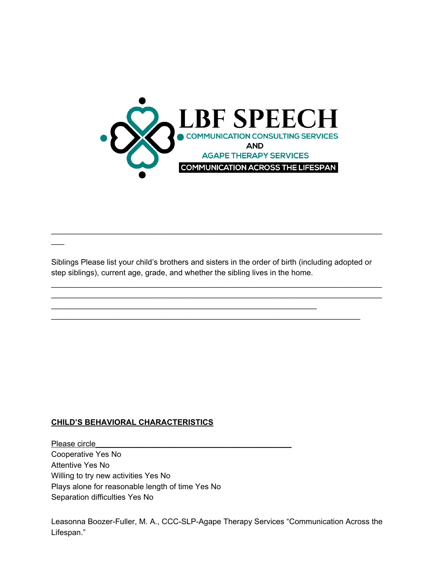

Siblings Please list your child's brothers and sisters in the order of birth (including adopted or step siblings), current age, grade, and whether the sibling lives in the home.

\_\_\_\_\_\_\_\_\_\_\_\_\_\_\_\_\_\_\_\_\_\_\_\_\_\_\_\_\_\_\_\_\_\_\_\_\_\_\_\_\_\_\_\_\_\_\_\_\_\_\_\_\_\_\_\_\_\_\_\_\_\_\_\_\_\_\_\_\_\_\_

\_\_\_\_\_\_\_\_\_\_\_\_\_\_\_\_\_\_\_\_\_\_\_\_\_\_\_\_\_\_\_\_\_\_\_\_\_\_\_\_\_\_\_\_\_\_\_\_\_\_\_\_\_\_\_\_\_\_\_\_\_

\_\_\_\_\_\_\_\_\_\_\_\_\_\_\_\_\_\_\_\_\_\_\_\_\_\_\_\_\_\_\_\_\_\_\_\_\_\_\_\_\_\_\_\_\_\_\_\_\_\_\_\_\_\_\_\_\_\_\_\_\_\_\_\_\_\_\_\_\_\_\_\_\_\_\_\_ \_\_\_\_\_\_\_\_\_\_\_\_\_\_\_\_\_\_\_\_\_\_\_\_\_\_\_\_\_\_\_\_\_\_\_\_\_\_\_\_\_\_\_\_\_\_\_\_\_\_\_\_\_\_\_\_\_\_\_\_\_\_\_\_\_\_\_\_\_\_\_\_\_\_\_\_

\_\_\_\_\_\_\_\_\_\_\_\_\_\_\_\_\_\_\_\_\_\_\_\_\_\_\_\_\_\_\_\_\_\_\_\_\_\_\_\_\_\_\_\_\_\_\_\_\_\_\_\_\_\_\_\_\_\_\_\_\_\_\_\_\_\_\_\_\_\_\_\_\_\_\_\_

### **CHILD'S BEHAVIORAL CHARACTERISTICS**

 $\overline{\phantom{a}}$ 

Please circle Cooperative Yes No Attentive Yes No Willing to try new activities Yes No Plays alone for reasonable length of time Yes No Separation difficulties Yes No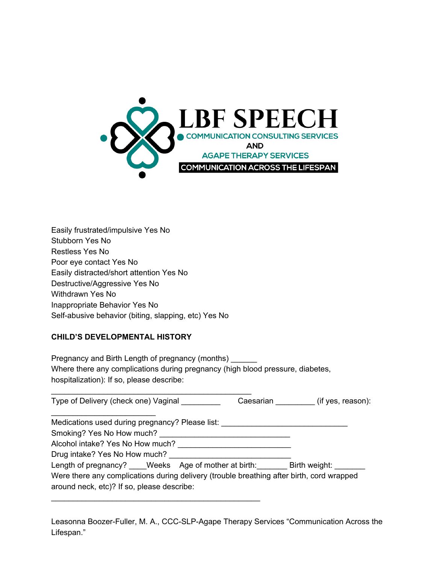

| Easily frustrated/impulsive Yes No                   |
|------------------------------------------------------|
| Stubborn Yes No                                      |
| Restless Yes No                                      |
| Poor eye contact Yes No                              |
| Easily distracted/short attention Yes No             |
| Destructive/Aggressive Yes No                        |
| Withdrawn Yes No                                     |
| Inappropriate Behavior Yes No                        |
| Self-abusive behavior (biting, slapping, etc) Yes No |

### **CHILD'S DEVELOPMENTAL HISTORY**

Pregnancy and Birth Length of pregnancy (months) Where there any complications during pregnancy (high blood pressure, diabetes, hospitalization): If so, please describe:

 $\mathcal{L}_\mathcal{L} = \{ \mathcal{L}_\mathcal{L} = \{ \mathcal{L}_\mathcal{L} = \{ \mathcal{L}_\mathcal{L} = \{ \mathcal{L}_\mathcal{L} = \{ \mathcal{L}_\mathcal{L} = \{ \mathcal{L}_\mathcal{L} = \{ \mathcal{L}_\mathcal{L} = \{ \mathcal{L}_\mathcal{L} = \{ \mathcal{L}_\mathcal{L} = \{ \mathcal{L}_\mathcal{L} = \{ \mathcal{L}_\mathcal{L} = \{ \mathcal{L}_\mathcal{L} = \{ \mathcal{L}_\mathcal{L} = \{ \mathcal{L}_\mathcal{$ 

| Type of Delivery (check one) Vaginal                                                      | Caesarian (if yes, reason): |
|-------------------------------------------------------------------------------------------|-----------------------------|
| Medications used during pregnancy? Please list:                                           |                             |
| Smoking? Yes No How much?                                                                 |                             |
| Alcohol intake? Yes No How much?                                                          |                             |
| Drug intake? Yes No How much?                                                             |                             |
| Length of pregnancy? ____Weeks Age of mother at birth: _______ Birth weight: ______       |                             |
| Were there any complications during delivery (trouble breathing after birth, cord wrapped |                             |
| around neck, etc)? If so, please describe:                                                |                             |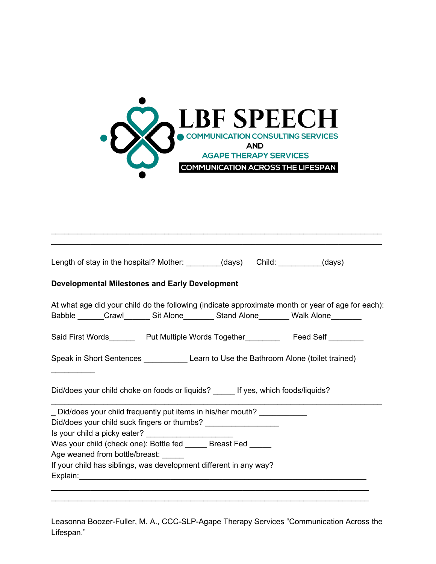

\_\_\_\_\_\_\_\_\_\_\_\_\_\_\_\_\_\_\_\_\_\_\_\_\_\_\_\_\_\_\_\_\_\_\_\_\_\_\_\_\_\_\_\_\_\_\_\_\_\_\_\_\_\_\_\_\_\_\_\_\_\_\_\_\_\_\_\_\_\_\_\_\_\_\_\_

| Length of stay in the hospital? Mother: ________(days) Child: ________(days)                                                                                                                 |  |
|----------------------------------------------------------------------------------------------------------------------------------------------------------------------------------------------|--|
| <b>Developmental Milestones and Early Development</b>                                                                                                                                        |  |
| At what age did your child do the following (indicate approximate month or year of age for each):<br>Babble ______Crawl__________Sit Alone___________Stand Alone__________Walk Alone________ |  |
| Said First Words__________ Put Multiple Words Together_____________ Feed Self _________                                                                                                      |  |
| Speak in Short Sentences _______________ Learn to Use the Bathroom Alone (toilet trained)                                                                                                    |  |
| Did/does your child choke on foods or liquids? _____ If yes, which foods/liquids?                                                                                                            |  |
| _ Did/does your child frequently put items in his/her mouth? ____________<br>Did/does your child suck fingers or thumbs? ___________________                                                 |  |
| Was your child (check one): Bottle fed ______ Breast Fed _____                                                                                                                               |  |
| Age weaned from bottle/breast:                                                                                                                                                               |  |
|                                                                                                                                                                                              |  |
| If your child has siblings, was development different in any way?                                                                                                                            |  |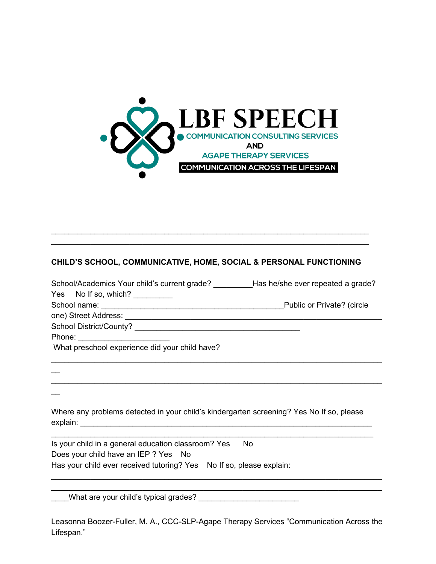

### **CHILD'S SCHOOL, COMMUNICATIVE, HOME, SOCIAL & PERSONAL FUNCTIONING**

\_\_\_\_\_\_\_\_\_\_\_\_\_\_\_\_\_\_\_\_\_\_\_\_\_\_\_\_\_\_\_\_\_\_\_\_\_\_\_\_\_\_\_\_\_\_\_\_\_\_\_\_\_\_\_\_\_\_\_\_\_\_\_\_\_\_\_\_\_\_\_\_\_ \_\_\_\_\_\_\_\_\_\_\_\_\_\_\_\_\_\_\_\_\_\_\_\_\_\_\_\_\_\_\_\_\_\_\_\_\_\_\_\_\_\_\_\_\_\_\_\_\_\_\_\_\_\_\_\_\_\_\_\_\_\_\_\_\_\_\_\_\_\_\_\_\_

| School/Academics Your child's current grade? Has he/she ever repeated a grade?         |                            |
|----------------------------------------------------------------------------------------|----------------------------|
| Yes No If so, which?                                                                   |                            |
|                                                                                        | Public or Private? (circle |
|                                                                                        |                            |
| School District/County?<br>2020 - Philosophy American Property School District/County? |                            |
|                                                                                        |                            |
| What preschool experience did your child have?                                         |                            |
|                                                                                        |                            |
|                                                                                        |                            |
|                                                                                        |                            |

Where any problems detected in your child's kindergarten screening? Yes No If so, please explain: \_\_\_\_\_\_\_\_\_\_\_\_\_\_\_\_\_\_\_\_\_\_\_\_\_\_\_\_\_\_\_\_\_\_\_\_\_\_\_\_\_\_\_\_\_\_\_\_\_\_\_\_\_\_\_\_\_\_\_\_\_\_\_\_\_\_\_

\_\_\_\_\_\_\_\_\_\_\_\_\_\_\_\_\_\_\_\_\_\_\_\_\_\_\_\_\_\_\_\_\_\_\_\_\_\_\_\_\_\_\_\_\_\_\_\_\_\_\_\_\_\_\_\_\_\_\_\_\_\_\_\_\_\_\_\_\_\_\_\_\_\_

Is your child in a general education classroom? Yes No Does your child have an IEP ? Yes No Has your child ever received tutoring? Yes No If so, please explain:

\_\_\_\_What are your child's typical grades? \_\_\_\_\_\_\_\_\_\_\_\_\_\_\_\_\_\_\_\_\_\_\_

 $\overline{\phantom{a}}$ 

Leasonna Boozer-Fuller, M. A., CCC-SLP-Agape Therapy Services "Communication Across the Lifespan."

\_\_\_\_\_\_\_\_\_\_\_\_\_\_\_\_\_\_\_\_\_\_\_\_\_\_\_\_\_\_\_\_\_\_\_\_\_\_\_\_\_\_\_\_\_\_\_\_\_\_\_\_\_\_\_\_\_\_\_\_\_\_\_\_\_\_\_\_\_\_\_\_\_\_\_\_ \_\_\_\_\_\_\_\_\_\_\_\_\_\_\_\_\_\_\_\_\_\_\_\_\_\_\_\_\_\_\_\_\_\_\_\_\_\_\_\_\_\_\_\_\_\_\_\_\_\_\_\_\_\_\_\_\_\_\_\_\_\_\_\_\_\_\_\_\_\_\_\_\_\_\_\_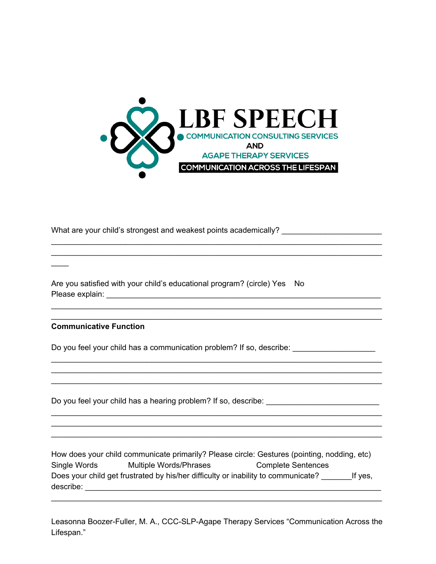

\_\_\_\_\_\_\_\_\_\_\_\_\_\_\_\_\_\_\_\_\_\_\_\_\_\_\_\_\_\_\_\_\_\_\_\_\_\_\_\_\_\_\_\_\_\_\_\_\_\_\_\_\_\_\_\_\_\_\_\_\_\_\_\_\_\_\_\_\_\_\_\_\_\_\_\_ \_\_\_\_\_\_\_\_\_\_\_\_\_\_\_\_\_\_\_\_\_\_\_\_\_\_\_\_\_\_\_\_\_\_\_\_\_\_\_\_\_\_\_\_\_\_\_\_\_\_\_\_\_\_\_\_\_\_\_\_\_\_\_\_\_\_\_\_\_\_\_\_\_\_\_\_

\_\_\_\_\_\_\_\_\_\_\_\_\_\_\_\_\_\_\_\_\_\_\_\_\_\_\_\_\_\_\_\_\_\_\_\_\_\_\_\_\_\_\_\_\_\_\_\_\_\_\_\_\_\_\_\_\_\_\_\_\_\_\_\_\_\_\_\_\_\_\_\_\_\_\_\_ \_\_\_\_\_\_\_\_\_\_\_\_\_\_\_\_\_\_\_\_\_\_\_\_\_\_\_\_\_\_\_\_\_\_\_\_\_\_\_\_\_\_\_\_\_\_\_\_\_\_\_\_\_\_\_\_\_\_\_\_\_\_\_\_\_\_\_\_\_\_\_\_\_\_\_\_

\_\_\_\_\_\_\_\_\_\_\_\_\_\_\_\_\_\_\_\_\_\_\_\_\_\_\_\_\_\_\_\_\_\_\_\_\_\_\_\_\_\_\_\_\_\_\_\_\_\_\_\_\_\_\_\_\_\_\_\_\_\_\_\_\_\_\_\_\_\_\_\_\_\_\_\_ \_\_\_\_\_\_\_\_\_\_\_\_\_\_\_\_\_\_\_\_\_\_\_\_\_\_\_\_\_\_\_\_\_\_\_\_\_\_\_\_\_\_\_\_\_\_\_\_\_\_\_\_\_\_\_\_\_\_\_\_\_\_\_\_\_\_\_\_\_\_\_\_\_\_\_\_

\_\_\_\_\_\_\_\_\_\_\_\_\_\_\_\_\_\_\_\_\_\_\_\_\_\_\_\_\_\_\_\_\_\_\_\_\_\_\_\_\_\_\_\_\_\_\_\_\_\_\_\_\_\_\_\_\_\_\_\_\_\_\_\_\_\_\_\_\_\_\_\_\_\_\_\_ \_\_\_\_\_\_\_\_\_\_\_\_\_\_\_\_\_\_\_\_\_\_\_\_\_\_\_\_\_\_\_\_\_\_\_\_\_\_\_\_\_\_\_\_\_\_\_\_\_\_\_\_\_\_\_\_\_\_\_\_\_\_\_\_\_\_\_\_\_\_\_\_\_\_\_\_ \_\_\_\_\_\_\_\_\_\_\_\_\_\_\_\_\_\_\_\_\_\_\_\_\_\_\_\_\_\_\_\_\_\_\_\_\_\_\_\_\_\_\_\_\_\_\_\_\_\_\_\_\_\_\_\_\_\_\_\_\_\_\_\_\_\_\_\_\_\_\_\_\_\_\_\_

What are your child's strongest and weakest points academically? \_\_\_\_\_\_\_\_\_\_\_\_\_\_\_

Are you satisfied with your child's educational program? (circle) Yes No Please explain: **Example 2018** 

**Communicative Function**

 $\mathcal{L}$ 

Do you feel your child has a communication problem? If so, describe: \_\_\_\_\_\_\_\_\_\_\_\_

Do you feel your child has a hearing problem? If so, describe: \_\_\_\_\_\_\_\_\_\_\_\_\_\_\_\_\_

How does your child communicate primarily? Please circle: Gestures (pointing, nodding, etc) Single Words Multiple Words/Phrases Complete Sentences Does your child get frustrated by his/her difficulty or inability to communicate? \_\_\_\_\_\_\_\_\_\_\_\_\_\_\_\_\_If yes, describe:  $\blacksquare$ 

Leasonna Boozer-Fuller, M. A., CCC-SLP-Agape Therapy Services "Communication Across the Lifespan."

\_\_\_\_\_\_\_\_\_\_\_\_\_\_\_\_\_\_\_\_\_\_\_\_\_\_\_\_\_\_\_\_\_\_\_\_\_\_\_\_\_\_\_\_\_\_\_\_\_\_\_\_\_\_\_\_\_\_\_\_\_\_\_\_\_\_\_\_\_\_\_\_\_\_\_\_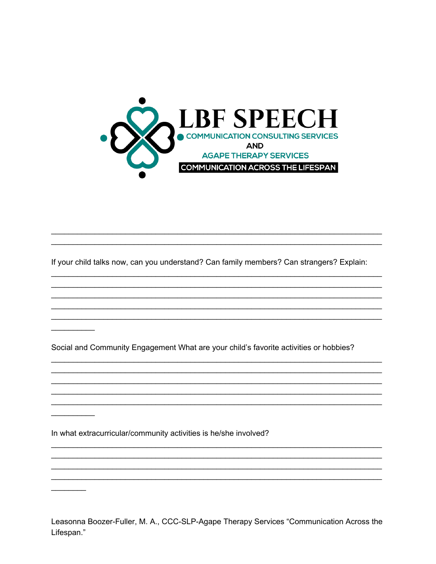

If your child talks now, can you understand? Can family members? Can strangers? Explain:

Social and Community Engagement What are your child's favorite activities or hobbies?

In what extracurricular/community activities is he/she involved?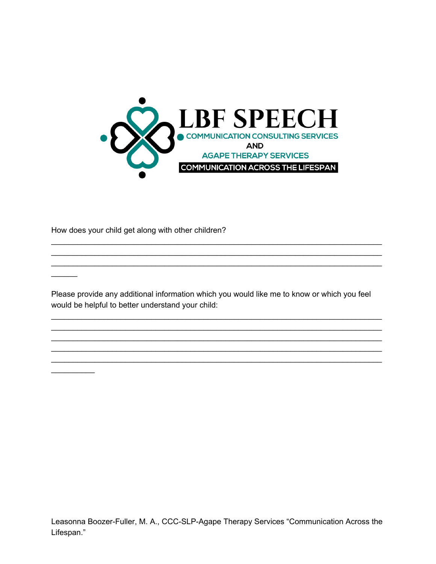

How does your child get along with other children?

Please provide any additional information which you would like me to know or which you feel would be helpful to better understand your child: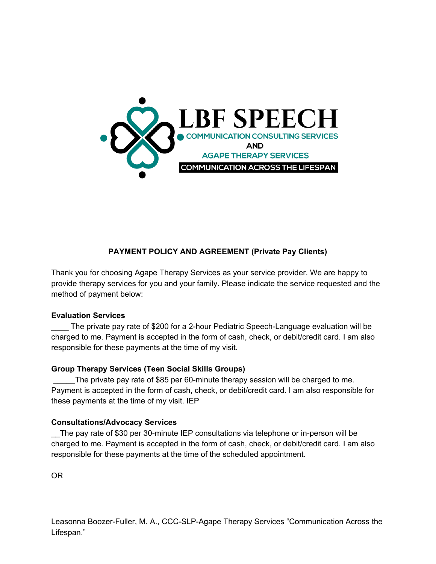

## **PAYMENT POLICY AND AGREEMENT (Private Pay Clients)**

Thank you for choosing Agape Therapy Services as your service provider. We are happy to provide therapy services for you and your family. Please indicate the service requested and the method of payment below:

### **Evaluation Services**

The private pay rate of \$200 for a 2-hour Pediatric Speech-Language evaluation will be charged to me. Payment is accepted in the form of cash, check, or debit/credit card. I am also responsible for these payments at the time of my visit.

### **Group Therapy Services (Teen Social Skills Groups)**

The private pay rate of \$85 per 60-minute therapy session will be charged to me. Payment is accepted in the form of cash, check, or debit/credit card. I am also responsible for these payments at the time of my visit. IEP

### **Consultations/Advocacy Services**

\_\_The pay rate of \$30 per 30-minute IEP consultations via telephone or in-person will be charged to me. Payment is accepted in the form of cash, check, or debit/credit card. I am also responsible for these payments at the time of the scheduled appointment.

OR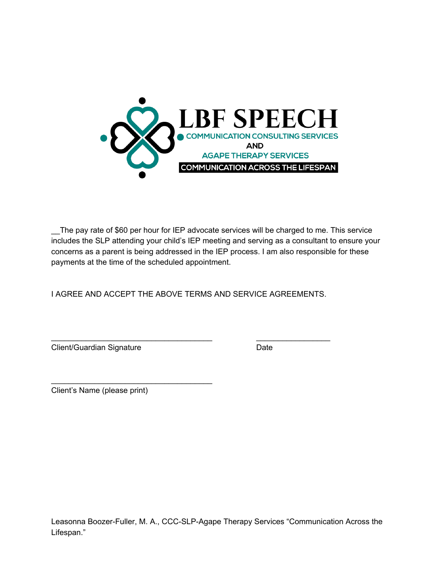

\_\_The pay rate of \$60 per hour for IEP advocate services will be charged to me. This service includes the SLP attending your child's IEP meeting and serving as a consultant to ensure your concerns as a parent is being addressed in the IEP process. I am also responsible for these payments at the time of the scheduled appointment.

I AGREE AND ACCEPT THE ABOVE TERMS AND SERVICE AGREEMENTS.

\_\_\_\_\_\_\_\_\_\_\_\_\_\_\_\_\_\_\_\_\_\_\_\_\_\_\_\_\_\_\_\_\_\_\_\_\_ \_\_\_\_\_\_\_\_\_\_\_\_\_\_\_\_\_

Client/Guardian Signature Date

Client's Name (please print)

 $\overline{\phantom{a}}$  , and the set of the set of the set of the set of the set of the set of the set of the set of the set of the set of the set of the set of the set of the set of the set of the set of the set of the set of the s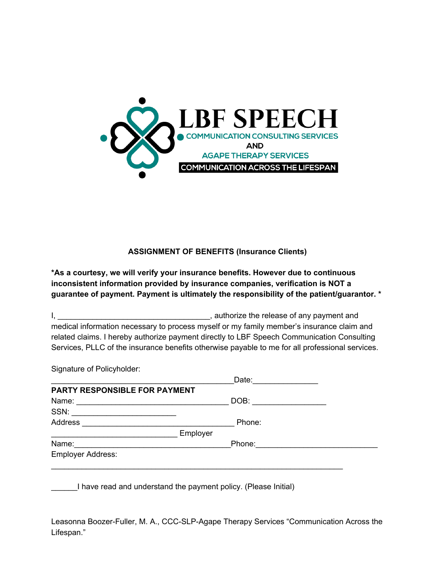

**ASSIGNMENT OF BENEFITS (Insurance Clients)**

**\*As a courtesy, we will verify your insurance benefits. However due to continuous inconsistent information provided by insurance companies, verification is NOT a guarantee of payment. Payment is ultimately the responsibility of the patient/guarantor. \***

I, \_\_\_\_\_\_\_\_\_\_\_\_\_\_\_\_\_\_\_\_\_\_\_\_\_\_\_\_\_\_\_\_\_\_\_, authorize the release of any payment and medical information necessary to process myself or my family member's insurance claim and related claims. I hereby authorize payment directly to LBF Speech Communication Consulting Services, PLLC of the insurance benefits otherwise payable to me for all professional services.

Signature of Policyholder:

|                                                                                           | Date:  |
|-------------------------------------------------------------------------------------------|--------|
| PARTY RESPONSIBLE FOR PAYMENT                                                             |        |
| the control of the control of the control of the control of the control of the control of | DOB:   |
|                                                                                           |        |
|                                                                                           | Phone: |
| Employer                                                                                  |        |
|                                                                                           | Phone: |
|                                                                                           |        |
|                                                                                           |        |

I have read and understand the payment policy. (Please Initial)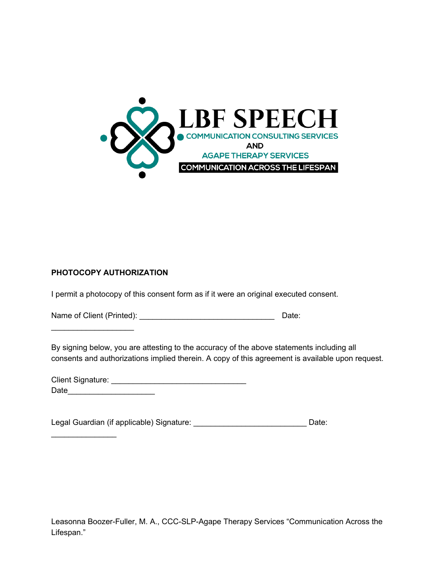

## **PHOTOCOPY AUTHORIZATION**

\_\_\_\_\_\_\_\_\_\_\_\_\_\_\_\_\_\_\_

 $\mathcal{L}_\text{max}$  , where  $\mathcal{L}_\text{max}$ 

I permit a photocopy of this consent form as if it were an original executed consent.

Name of Client (Printed): \_\_\_\_\_\_\_\_\_\_\_\_\_\_\_\_\_\_\_\_\_\_\_\_\_\_\_\_\_\_\_ Date:

By signing below, you are attesting to the accuracy of the above statements including all consents and authorizations implied therein. A copy of this agreement is available upon request.

| <b>Client Signature:</b> |  |
|--------------------------|--|
| Date                     |  |

Legal Guardian (if applicable) Signature: \_\_\_\_\_\_\_\_\_\_\_\_\_\_\_\_\_\_\_\_\_\_\_\_\_\_\_\_\_\_\_\_\_Date: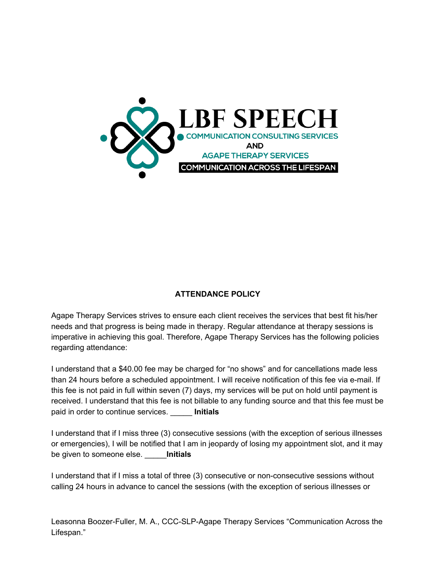

### **ATTENDANCE POLICY**

Agape Therapy Services strives to ensure each client receives the services that best fit his/her needs and that progress is being made in therapy. Regular attendance at therapy sessions is imperative in achieving this goal. Therefore, Agape Therapy Services has the following policies regarding attendance:

I understand that a \$40.00 fee may be charged for "no shows" and for cancellations made less than 24 hours before a scheduled appointment. I will receive notification of this fee via e-mail. If this fee is not paid in full within seven (7) days, my services will be put on hold until payment is received. I understand that this fee is not billable to any funding source and that this fee must be paid in order to continue services. \_\_\_\_\_ **Initials**

I understand that if I miss three (3) consecutive sessions (with the exception of serious illnesses or emergencies), I will be notified that I am in jeopardy of losing my appointment slot, and it may be given to someone else. \_\_\_\_\_**Initials**

I understand that if I miss a total of three (3) consecutive or non-consecutive sessions without calling 24 hours in advance to cancel the sessions (with the exception of serious illnesses or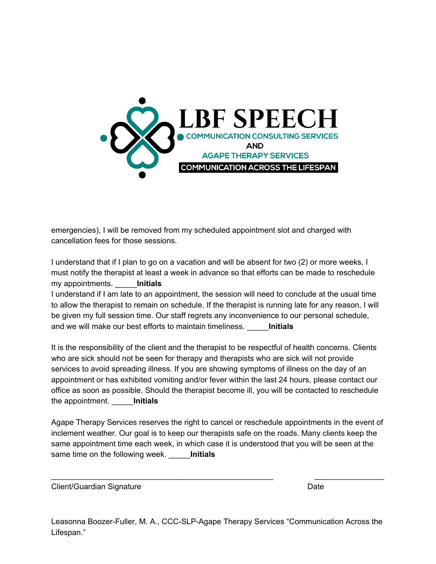

emergencies), I will be removed from my scheduled appointment slot and charged with cancellation fees for those sessions.

I understand that if I plan to go on a vacation and will be absent for two (2) or more weeks, I must notify the therapist at least a week in advance so that efforts can be made to reschedule my appointments. \_\_\_\_\_**Initials**

I understand if I am late to an appointment, the session will need to conclude at the usual time to allow the therapist to remain on schedule. If the therapist is running late for any reason, I will be given my full session time. Our staff regrets any inconvenience to our personal schedule, and we will make our best efforts to maintain timeliness. \_\_\_\_\_**Initials**

It is the responsibility of the client and the therapist to be respectful of health concerns. Clients who are sick should not be seen for therapy and therapists who are sick will not provide services to avoid spreading illness. If you are showing symptoms of illness on the day of an appointment or has exhibited vomiting and/or fever within the last 24 hours, please contact our office as soon as possible. Should the therapist become ill, you will be contacted to reschedule the appointment. \_\_\_\_\_**Initials**

Agape Therapy Services reserves the right to cancel or reschedule appointments in the event of inclement weather. Our goal is to keep our therapists safe on the roads. Many clients keep the same appointment time each week, in which case it is understood that you will be seen at the same time on the following week. \_\_\_\_\_**Initials**

\_\_\_\_\_\_\_\_\_\_\_\_\_\_\_\_\_\_\_\_\_\_\_\_\_\_\_\_\_\_\_\_\_\_\_\_\_\_\_\_\_\_\_\_\_\_\_\_\_\_\_ \_\_\_\_\_\_\_\_\_\_\_\_\_\_\_\_

Client/Guardian Signature **Date** Date Date **Date**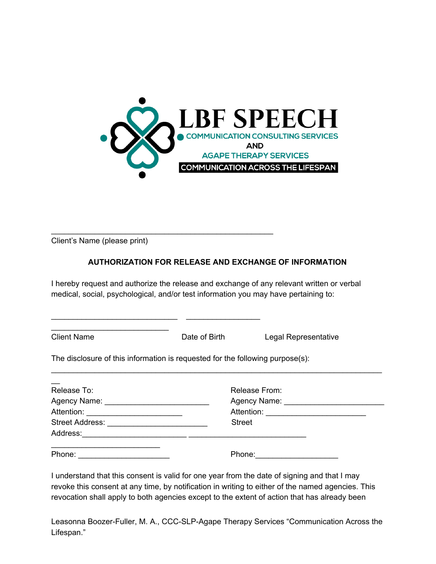

Client's Name (please print)

\_\_\_\_\_\_\_\_\_\_\_\_\_\_\_\_\_\_\_\_\_\_\_\_\_\_\_

### **AUTHORIZATION FOR RELEASE AND EXCHANGE OF INFORMATION**

I hereby request and authorize the release and exchange of any relevant written or verbal medical, social, psychological, and/or test information you may have pertaining to:

Client Name **Date of Birth** Legal Representative

The disclosure of this information is requested for the following purpose(s):

\_\_\_\_\_\_\_\_\_\_\_\_\_\_\_\_\_\_\_\_\_\_\_\_\_\_\_\_\_\_\_\_\_\_\_\_\_\_\_\_\_\_\_\_\_\_\_\_\_\_\_

 $\_$  , and the set of the set of the set of the set of the set of the set of the set of the set of the set of the set of the set of the set of the set of the set of the set of the set of the set of the set of the set of th

| Release To: | Release From: |
|-------------|---------------|
|             |               |
|             |               |
|             | <b>Street</b> |
|             |               |
|             |               |
| Phone:      | Phone:        |

\_\_\_\_\_\_\_\_\_\_\_\_\_\_\_\_\_\_\_\_\_\_\_\_\_\_\_\_\_\_\_\_\_\_\_\_\_\_\_\_\_\_\_\_\_\_\_\_\_\_\_\_\_\_\_\_\_\_\_\_\_\_\_\_\_\_\_\_\_\_\_\_\_\_\_\_

I understand that this consent is valid for one year from the date of signing and that I may revoke this consent at any time, by notification in writing to either of the named agencies. This revocation shall apply to both agencies except to the extent of action that has already been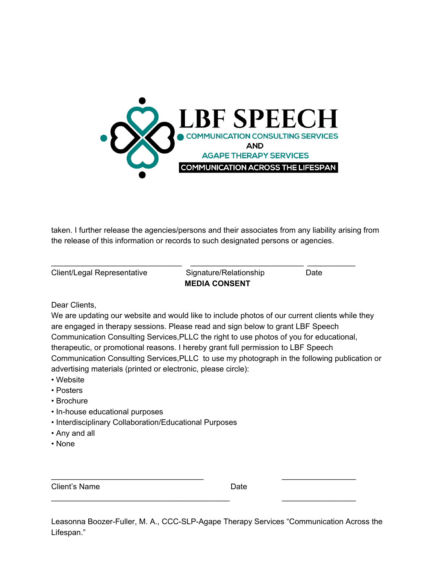

taken. I further release the agencies/persons and their associates from any liability arising from the release of this information or records to such designated persons or agencies.

| Client/Legal Representative | Signature/Relationship | Date |  |
|-----------------------------|------------------------|------|--|
|                             | <b>MEDIA CONSENT</b>   |      |  |

Dear Clients,

We are updating our website and would like to include photos of our current clients while they are engaged in therapy sessions. Please read and sign below to grant LBF Speech Communication Consulting Services,PLLC the right to use photos of you for educational, therapeutic, or promotional reasons. I hereby grant full permission to LBF Speech Communication Consulting Services,PLLC to use my photograph in the following publication or advertising materials (printed or electronic, please circle):

- Website
- Posters
- Brochure
- In-house educational purposes
- Interdisciplinary Collaboration/Educational Purposes
- Any and all
- None

Client's Name **Date** 

Leasonna Boozer-Fuller, M. A., CCC-SLP-Agape Therapy Services "Communication Across the Lifespan."

\_\_\_\_\_\_\_\_\_\_\_\_\_\_\_\_\_\_\_\_\_\_\_\_\_\_\_\_\_\_\_\_\_\_\_ \_\_\_\_\_\_\_\_\_\_\_\_\_\_\_\_\_

\_\_\_\_\_\_\_\_\_\_\_\_\_\_\_\_\_\_\_\_\_\_\_\_\_\_\_\_\_\_\_\_\_\_\_\_\_\_\_\_\_ \_\_\_\_\_\_\_\_\_\_\_\_\_\_\_\_\_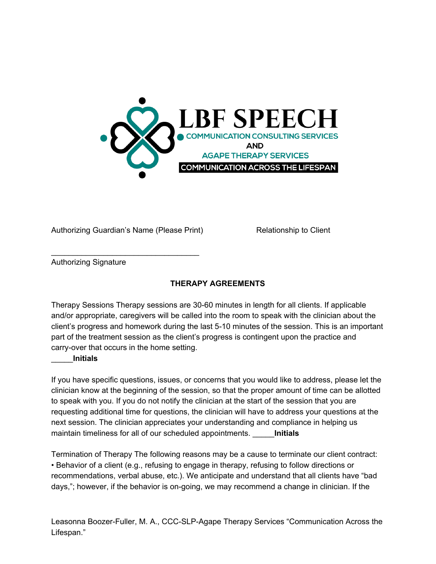

Authorizing Guardian's Name (Please Print) Relationship to Client

\_\_\_\_\_\_\_\_\_\_\_\_\_\_\_\_\_\_\_\_\_\_\_\_\_\_\_\_\_\_\_\_\_\_

Authorizing Signature

## **THERAPY AGREEMENTS**

Therapy Sessions Therapy sessions are 30-60 minutes in length for all clients. If applicable and/or appropriate, caregivers will be called into the room to speak with the clinician about the client's progress and homework during the last 5-10 minutes of the session. This is an important part of the treatment session as the client's progress is contingent upon the practice and carry-over that occurs in the home setting.

### \_\_\_\_\_**Initials**

If you have specific questions, issues, or concerns that you would like to address, please let the clinician know at the beginning of the session, so that the proper amount of time can be allotted to speak with you. If you do not notify the clinician at the start of the session that you are requesting additional time for questions, the clinician will have to address your questions at the next session. The clinician appreciates your understanding and compliance in helping us maintain timeliness for all of our scheduled appointments. \_\_\_\_\_**Initials**

Termination of Therapy The following reasons may be a cause to terminate our client contract: • Behavior of a client (e.g., refusing to engage in therapy, refusing to follow directions or recommendations, verbal abuse, etc.). We anticipate and understand that all clients have "bad days,"; however, if the behavior is on-going, we may recommend a change in clinician. If the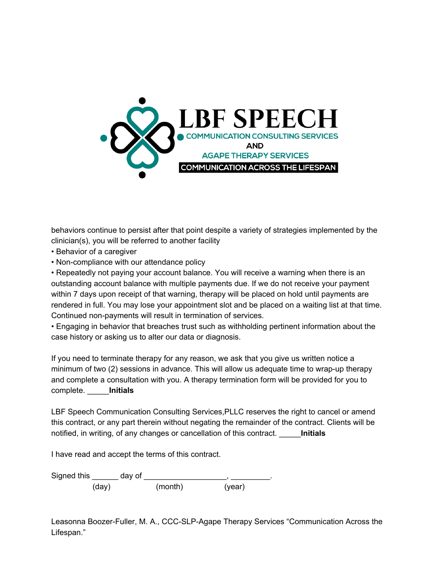

behaviors continue to persist after that point despite a variety of strategies implemented by the clinician(s), you will be referred to another facility

- Behavior of a caregiver
- Non-compliance with our attendance policy

• Repeatedly not paying your account balance. You will receive a warning when there is an outstanding account balance with multiple payments due. If we do not receive your payment within 7 days upon receipt of that warning, therapy will be placed on hold until payments are rendered in full. You may lose your appointment slot and be placed on a waiting list at that time. Continued non-payments will result in termination of services.

• Engaging in behavior that breaches trust such as withholding pertinent information about the case history or asking us to alter our data or diagnosis.

If you need to terminate therapy for any reason, we ask that you give us written notice a minimum of two (2) sessions in advance. This will allow us adequate time to wrap-up therapy and complete a consultation with you. A therapy termination form will be provided for you to complete. \_\_\_\_\_**Initials**

LBF Speech Communication Consulting Services,PLLC reserves the right to cancel or amend this contract, or any part therein without negating the remainder of the contract. Clients will be notified, in writing, of any changes or cancellation of this contract. \_\_\_\_\_**Initials**

I have read and accept the terms of this contract.

Signed this \_\_\_\_\_\_\_ day of \_\_\_\_\_\_\_\_\_\_\_\_\_\_\_\_\_\_\_\_\_\_\_, \_\_\_\_\_\_\_\_\_\_. (day) (month) (year)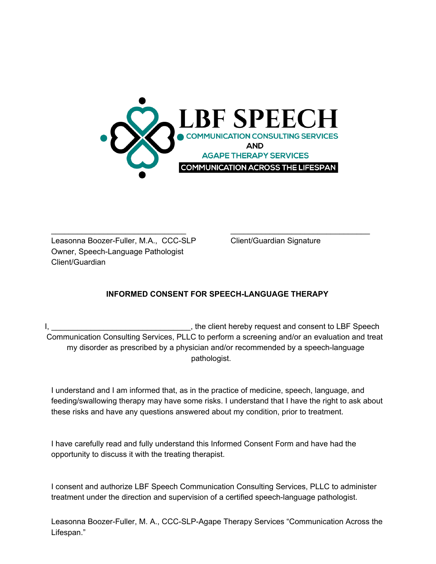

Leasonna Boozer-Fuller, M.A., CCC-SLP Client/Guardian Signature Owner, Speech-Language Pathologist Client/Guardian

## **INFORMED CONSENT FOR SPEECH-LANGUAGE THERAPY**

\_\_\_\_\_\_\_\_\_\_\_\_\_\_\_\_\_\_\_\_\_\_\_\_\_\_\_\_\_\_\_ \_\_\_\_\_\_\_\_\_\_\_\_\_\_\_\_\_\_\_\_\_\_\_\_\_\_\_\_\_\_\_\_

I, \_\_\_\_\_\_\_\_\_\_\_\_\_\_\_\_\_\_\_\_\_\_\_\_\_\_\_\_\_\_\_\_, the client hereby request and consent to LBF Speech Communication Consulting Services, PLLC to perform a screening and/or an evaluation and treat my disorder as prescribed by a physician and/or recommended by a speech-language pathologist.

I understand and I am informed that, as in the practice of medicine, speech, language, and feeding/swallowing therapy may have some risks. I understand that I have the right to ask about these risks and have any questions answered about my condition, prior to treatment.

I have carefully read and fully understand this Informed Consent Form and have had the opportunity to discuss it with the treating therapist.

I consent and authorize LBF Speech Communication Consulting Services, PLLC to administer treatment under the direction and supervision of a certified speech-language pathologist.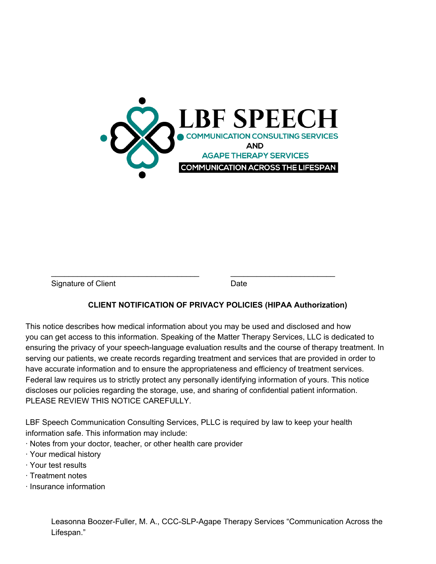

Signature of Client **Date** Date

### **CLIENT NOTIFICATION OF PRIVACY POLICIES (HIPAA Authorization)**

This notice describes how medical information about you may be used and disclosed and how you can get access to this information. Speaking of the Matter Therapy Services, LLC is dedicated to ensuring the privacy of your speech-language evaluation results and the course of therapy treatment. In serving our patients, we create records regarding treatment and services that are provided in order to have accurate information and to ensure the appropriateness and efficiency of treatment services. Federal law requires us to strictly protect any personally identifying information of yours. This notice discloses our policies regarding the storage, use, and sharing of confidential patient information. PLEASE REVIEW THIS NOTICE CAREFULLY.

\_\_\_\_\_\_\_\_\_\_\_\_\_\_\_\_\_\_\_\_\_\_\_\_\_\_\_\_\_\_\_\_\_\_ \_\_\_\_\_\_\_\_\_\_\_\_\_\_\_\_\_\_\_\_\_\_\_\_

LBF Speech Communication Consulting Services, PLLC is required by law to keep your health information safe. This information may include:

· Notes from your doctor, teacher, or other health care provider

- · Your medical history
- · Your test results
- · Treatment notes
- · Insurance information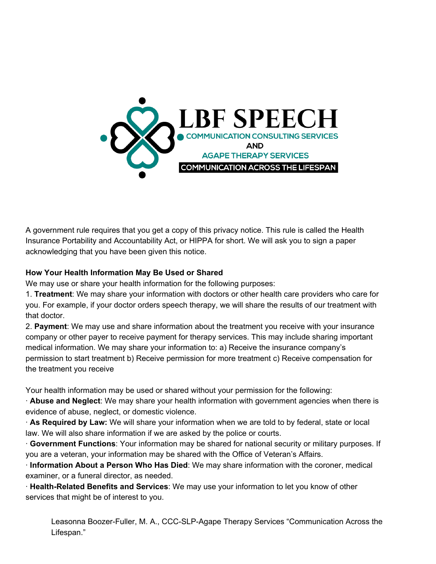

A government rule requires that you get a copy of this privacy notice. This rule is called the Health Insurance Portability and Accountability Act, or HIPPA for short. We will ask you to sign a paper acknowledging that you have been given this notice.

## **How Your Health Information May Be Used or Shared**

We may use or share your health information for the following purposes:

1. **Treatment**: We may share your information with doctors or other health care providers who care for you. For example, if your doctor orders speech therapy, we will share the results of our treatment with that doctor.

2. **Payment**: We may use and share information about the treatment you receive with your insurance company or other payer to receive payment for therapy services. This may include sharing important medical information. We may share your information to: a) Receive the insurance company's permission to start treatment b) Receive permission for more treatment c) Receive compensation for the treatment you receive

Your health information may be used or shared without your permission for the following:

· **Abuse and Neglect**: We may share your health information with government agencies when there is evidence of abuse, neglect, or domestic violence.

· **As Required by Law:** We will share your information when we are told to by federal, state or local law. We will also share information if we are asked by the police or courts.

· **Government Functions**: Your information may be shared for national security or military purposes. If you are a veteran, your information may be shared with the Office of Veteran's Affairs.

· **Information About a Person Who Has Died**: We may share information with the coroner, medical examiner, or a funeral director, as needed.

· **Health-Related Benefits and Services**: We may use your information to let you know of other services that might be of interest to you.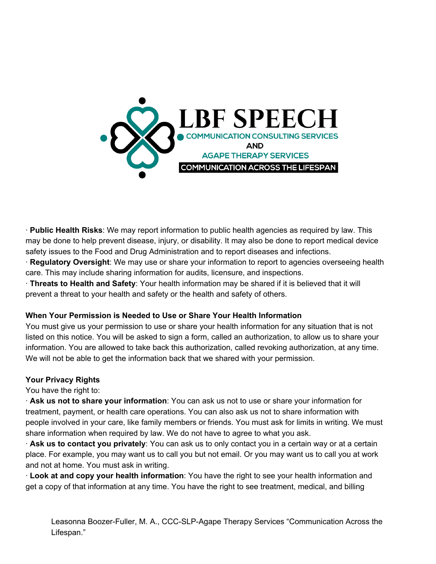

· **Public Health Risks**: We may report information to public health agencies as required by law. This may be done to help prevent disease, injury, or disability. It may also be done to report medical device safety issues to the Food and Drug Administration and to report diseases and infections.

· **Regulatory Oversight**: We may use or share your information to report to agencies overseeing health care. This may include sharing information for audits, licensure, and inspections.

· **Threats to Health and Safety**: Your health information may be shared if it is believed that it will prevent a threat to your health and safety or the health and safety of others.

### **When Your Permission is Needed to Use or Share Your Health Information**

You must give us your permission to use or share your health information for any situation that is not listed on this notice. You will be asked to sign a form, called an authorization, to allow us to share your information. You are allowed to take back this authorization, called revoking authorization, at any time. We will not be able to get the information back that we shared with your permission.

### **Your Privacy Rights**

You have the right to:

· **Ask us not to share your information**: You can ask us not to use or share your information for treatment, payment, or health care operations. You can also ask us not to share information with people involved in your care, like family members or friends. You must ask for limits in writing. We must share information when required by law. We do not have to agree to what you ask.

· **Ask us to contact you privately**: You can ask us to only contact you in a certain way or at a certain place. For example, you may want us to call you but not email. Or you may want us to call you at work and not at home. You must ask in writing.

· **Look at and copy your health information**: You have the right to see your health information and get a copy of that information at any time. You have the right to see treatment, medical, and billing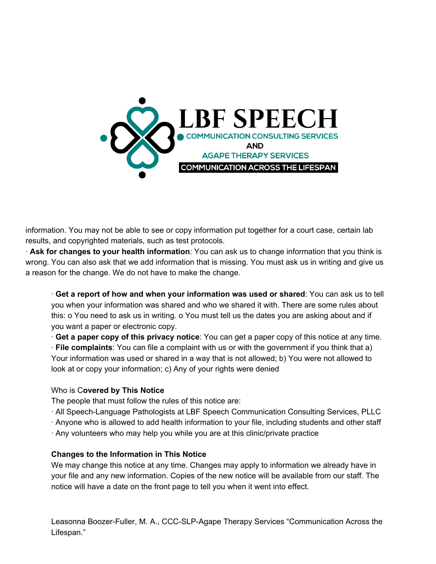

information. You may not be able to see or copy information put together for a court case, certain lab results, and copyrighted materials, such as test protocols.

· **Ask for changes to your health information**: You can ask us to change information that you think is wrong. You can also ask that we add information that is missing. You must ask us in writing and give us a reason for the change. We do not have to make the change.

· **Get a report of how and when your information was used or shared**: You can ask us to tell you when your information was shared and who we shared it with. There are some rules about this: o You need to ask us in writing. o You must tell us the dates you are asking about and if you want a paper or electronic copy.

· **Get a paper copy of this privacy notice**: You can get a paper copy of this notice at any time.

· **File complaints**: You can file a complaint with us or with the government if you think that a) Your information was used or shared in a way that is not allowed; b) You were not allowed to look at or copy your information; c) Any of your rights were denied

### Who is C**overed by This Notice**

The people that must follow the rules of this notice are:

- · All Speech-Language Pathologists at LBF Speech Communication Consulting Services, PLLC
- · Anyone who is allowed to add health information to your file, including students and other staff
- · Any volunteers who may help you while you are at this clinic/private practice

### **Changes to the Information in This Notice**

We may change this notice at any time. Changes may apply to information we already have in your file and any new information. Copies of the new notice will be available from our staff. The notice will have a date on the front page to tell you when it went into effect.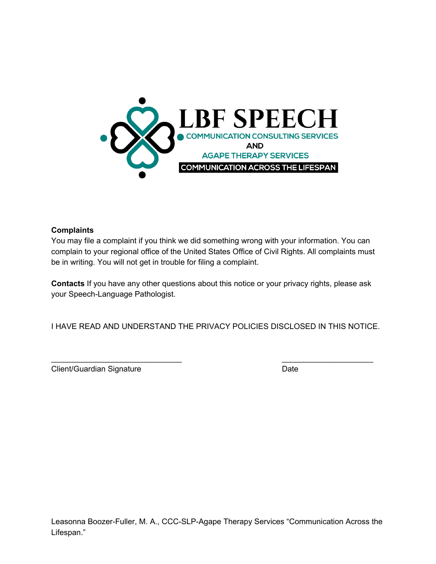

### **Complaints**

You may file a complaint if you think we did something wrong with your information. You can complain to your regional office of the United States Office of Civil Rights. All complaints must be in writing. You will not get in trouble for filing a complaint.

**Contacts** If you have any other questions about this notice or your privacy rights, please ask your Speech-Language Pathologist.

I HAVE READ AND UNDERSTAND THE PRIVACY POLICIES DISCLOSED IN THIS NOTICE.

 $\overline{\phantom{a}}$  , and the contract of the contract of the contract of the contract of the contract of the contract of the contract of the contract of the contract of the contract of the contract of the contract of the contrac

Client/Guardian Signature Date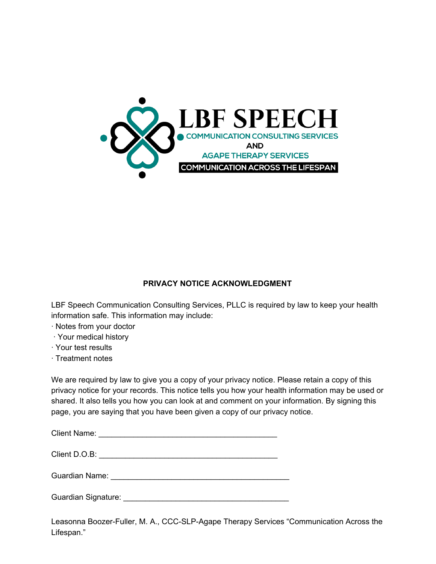

## **PRIVACY NOTICE ACKNOWLEDGMENT**

LBF Speech Communication Consulting Services, PLLC is required by law to keep your health information safe. This information may include:

- · Notes from your doctor
- · Your medical history
- · Your test results
- · Treatment notes

We are required by law to give you a copy of your privacy notice. Please retain a copy of this privacy notice for your records. This notice tells you how your health information may be used or shared. It also tells you how you can look at and comment on your information. By signing this page, you are saying that you have been given a copy of our privacy notice.

Client Name: \_\_\_\_\_\_\_\_\_\_\_\_\_\_\_\_\_\_\_\_\_\_\_\_\_\_\_\_\_\_\_\_\_\_\_\_\_\_\_\_\_

| Client D.O.B: |  |
|---------------|--|
|               |  |

Guardian Name: \_\_\_\_\_\_\_\_\_\_\_\_\_\_\_\_\_\_\_\_\_\_\_\_\_\_\_\_\_\_\_\_\_\_\_\_\_\_\_\_\_

Guardian Signature: \_\_\_\_\_\_\_\_\_\_\_\_\_\_\_\_\_\_\_\_\_\_\_\_\_\_\_\_\_\_\_\_\_\_\_\_\_\_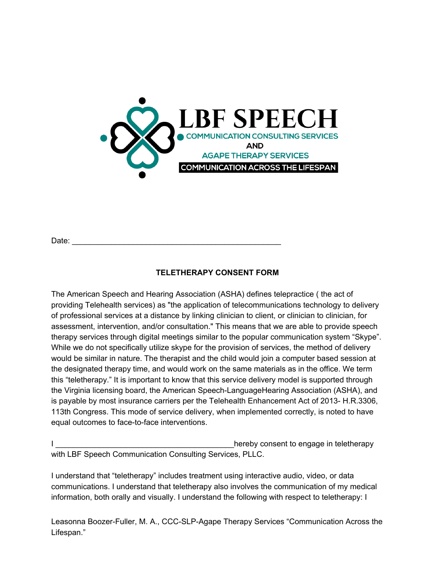

Date: \_\_\_\_\_\_\_\_\_\_\_\_\_\_\_\_\_\_\_\_\_\_\_\_\_\_\_\_\_\_\_\_\_\_\_\_\_\_\_\_\_\_\_\_\_\_\_\_

# **TELETHERAPY CONSENT FORM**

The American Speech and Hearing Association (ASHA) defines telepractice ( the act of providing Telehealth services) as "the application of telecommunications technology to delivery of professional services at a distance by linking clinician to client, or clinician to clinician, for assessment, intervention, and/or consultation." This means that we are able to provide speech therapy services through digital meetings similar to the popular communication system "Skype". While we do not specifically utilize skype for the provision of services, the method of delivery would be similar in nature. The therapist and the child would join a computer based session at the designated therapy time, and would work on the same materials as in the office. We term this "teletherapy." It is important to know that this service delivery model is supported through the Virginia licensing board, the American Speech-LanguageHearing Association (ASHA), and is payable by most insurance carriers per the Telehealth Enhancement Act of 2013- H.R.3306, 113th Congress. This mode of service delivery, when implemented correctly, is noted to have equal outcomes to face-to-face interventions.

hereby consent to engage in teletherapy with LBF Speech Communication Consulting Services, PLLC.

I understand that "teletherapy" includes treatment using interactive audio, video, or data communications. I understand that teletherapy also involves the communication of my medical information, both orally and visually. I understand the following with respect to teletherapy: I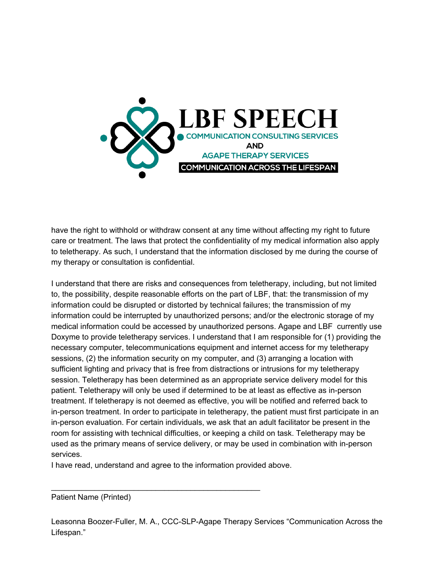

have the right to withhold or withdraw consent at any time without affecting my right to future care or treatment. The laws that protect the confidentiality of my medical information also apply to teletherapy. As such, I understand that the information disclosed by me during the course of my therapy or consultation is confidential.

I understand that there are risks and consequences from teletherapy, including, but not limited to, the possibility, despite reasonable efforts on the part of LBF, that: the transmission of my information could be disrupted or distorted by technical failures; the transmission of my information could be interrupted by unauthorized persons; and/or the electronic storage of my medical information could be accessed by unauthorized persons. Agape and LBF currently use Doxyme to provide teletherapy services. I understand that I am responsible for (1) providing the necessary computer, telecommunications equipment and internet access for my teletherapy sessions, (2) the information security on my computer, and (3) arranging a location with sufficient lighting and privacy that is free from distractions or intrusions for my teletherapy session. Teletherapy has been determined as an appropriate service delivery model for this patient. Teletherapy will only be used if determined to be at least as effective as in-person treatment. If teletherapy is not deemed as effective, you will be notified and referred back to in-person treatment. In order to participate in teletherapy, the patient must first participate in an in-person evaluation. For certain individuals, we ask that an adult facilitator be present in the room for assisting with technical difficulties, or keeping a child on task. Teletherapy may be used as the primary means of service delivery, or may be used in combination with in-person services.

I have read, understand and agree to the information provided above.

 $\mathcal{L}_\mathcal{L} = \{ \mathcal{L}_\mathcal{L} = \{ \mathcal{L}_\mathcal{L} = \{ \mathcal{L}_\mathcal{L} = \{ \mathcal{L}_\mathcal{L} = \{ \mathcal{L}_\mathcal{L} = \{ \mathcal{L}_\mathcal{L} = \{ \mathcal{L}_\mathcal{L} = \{ \mathcal{L}_\mathcal{L} = \{ \mathcal{L}_\mathcal{L} = \{ \mathcal{L}_\mathcal{L} = \{ \mathcal{L}_\mathcal{L} = \{ \mathcal{L}_\mathcal{L} = \{ \mathcal{L}_\mathcal{L} = \{ \mathcal{L}_\mathcal{$ 

Patient Name (Printed)